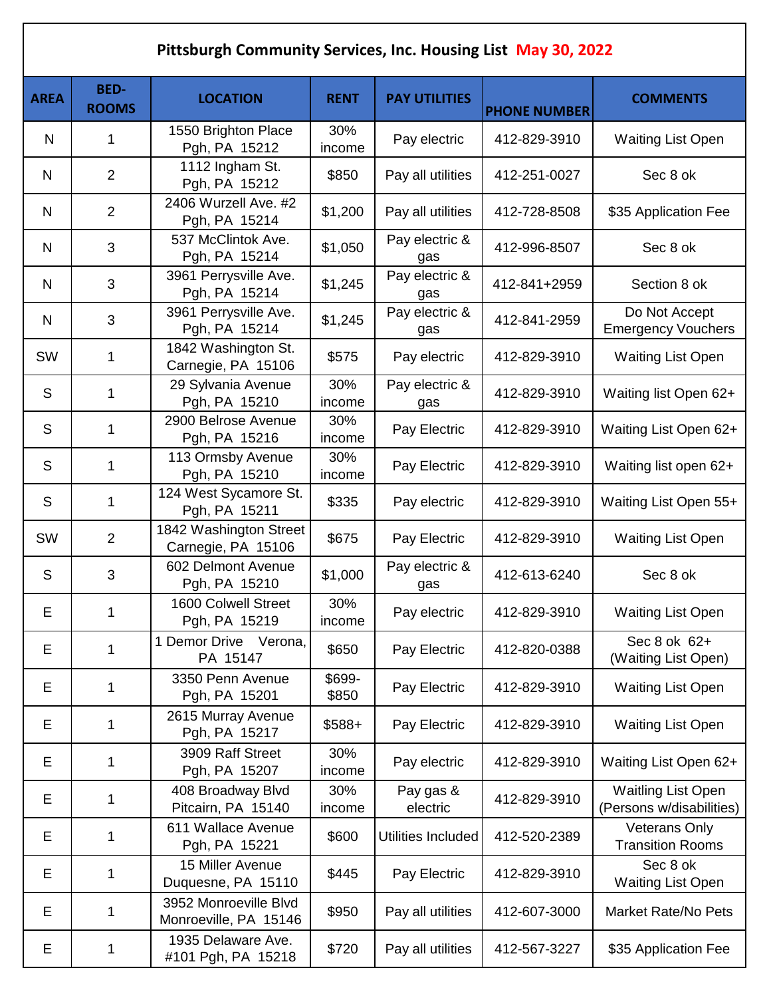| Pittsburgh Community Services, Inc. Housing List May 30, 2022 |                             |                                                |                 |                       |                     |                                                       |  |
|---------------------------------------------------------------|-----------------------------|------------------------------------------------|-----------------|-----------------------|---------------------|-------------------------------------------------------|--|
| <b>AREA</b>                                                   | <b>BED-</b><br><b>ROOMS</b> | <b>LOCATION</b>                                | <b>RENT</b>     | <b>PAY UTILITIES</b>  | <b>PHONE NUMBER</b> | <b>COMMENTS</b>                                       |  |
| N                                                             | 1                           | 1550 Brighton Place<br>Pgh, PA 15212           | 30%<br>income   | Pay electric          | 412-829-3910        | <b>Waiting List Open</b>                              |  |
| N                                                             | $\overline{2}$              | 1112 Ingham St.<br>Pgh, PA 15212               | \$850           | Pay all utilities     | 412-251-0027        | Sec 8 ok                                              |  |
| N                                                             | $\overline{2}$              | 2406 Wurzell Ave. #2<br>Pgh, PA 15214          | \$1,200         | Pay all utilities     | 412-728-8508        | \$35 Application Fee                                  |  |
| N                                                             | 3                           | 537 McClintok Ave.<br>Pgh, PA 15214            | \$1,050         | Pay electric &<br>gas | 412-996-8507        | Sec 8 ok                                              |  |
| N                                                             | 3                           | 3961 Perrysville Ave.<br>Pgh, PA 15214         | \$1,245         | Pay electric &<br>gas | 412-841+2959        | Section 8 ok                                          |  |
| N                                                             | 3                           | 3961 Perrysville Ave.<br>Pgh, PA 15214         | \$1,245         | Pay electric &<br>gas | 412-841-2959        | Do Not Accept<br><b>Emergency Vouchers</b>            |  |
| SW                                                            | 1                           | 1842 Washington St.<br>Carnegie, PA 15106      | \$575           | Pay electric          | 412-829-3910        | <b>Waiting List Open</b>                              |  |
| S                                                             | 1                           | 29 Sylvania Avenue<br>Pgh, PA 15210            | 30%<br>income   | Pay electric &<br>gas | 412-829-3910        | Waiting list Open 62+                                 |  |
| S                                                             | 1                           | 2900 Belrose Avenue<br>Pgh, PA 15216           | 30%<br>income   | Pay Electric          | 412-829-3910        | Waiting List Open 62+                                 |  |
| S                                                             | 1                           | 113 Ormsby Avenue<br>Pgh, PA 15210             | 30%<br>income   | Pay Electric          | 412-829-3910        | Waiting list open 62+                                 |  |
| S                                                             | 1                           | 124 West Sycamore St.<br>Pgh, PA 15211         | \$335           | Pay electric          | 412-829-3910        | Waiting List Open 55+                                 |  |
| SW                                                            | $\overline{2}$              | 1842 Washington Street<br>Carnegie, PA 15106   | \$675           | Pay Electric          | 412-829-3910        | <b>Waiting List Open</b>                              |  |
| S                                                             | 3                           | 602 Delmont Avenue<br>Pgh, PA 15210            | \$1,000         | Pay electric &<br>gas | 412-613-6240        | Sec 8 ok                                              |  |
| E                                                             | 1                           | 1600 Colwell Street<br>Pgh, PA 15219           | 30%<br>income   | Pay electric          | 412-829-3910        | <b>Waiting List Open</b>                              |  |
| E                                                             | 1                           | 1 Demor Drive Verona,<br>PA 15147              | \$650           | Pay Electric          | 412-820-0388        | Sec 8 ok 62+<br>(Waiting List Open)                   |  |
| Е                                                             | 1                           | 3350 Penn Avenue<br>Pgh, PA 15201              | \$699-<br>\$850 | Pay Electric          | 412-829-3910        | <b>Waiting List Open</b>                              |  |
| Е                                                             | 1                           | 2615 Murray Avenue<br>Pgh, PA 15217            | $$588+$         | Pay Electric          | 412-829-3910        | <b>Waiting List Open</b>                              |  |
| Е                                                             | 1                           | 3909 Raff Street<br>Pgh, PA 15207              | 30%<br>income   | Pay electric          | 412-829-3910        | Waiting List Open 62+                                 |  |
| Е                                                             | 1                           | 408 Broadway Blvd<br>Pitcairn, PA 15140        | 30%<br>income   | Pay gas &<br>electric | 412-829-3910        | <b>Waitling List Open</b><br>(Persons w/disabilities) |  |
| E                                                             | 1                           | 611 Wallace Avenue<br>Pgh, PA 15221            | \$600           | Utilities Included    | 412-520-2389        | <b>Veterans Only</b><br><b>Transition Rooms</b>       |  |
| Е                                                             | 1                           | 15 Miller Avenue<br>Duquesne, PA 15110         | \$445           | Pay Electric          | 412-829-3910        | Sec 8 ok<br><b>Waiting List Open</b>                  |  |
| Е                                                             | 1                           | 3952 Monroeville Blvd<br>Monroeville, PA 15146 | \$950           | Pay all utilities     | 412-607-3000        | <b>Market Rate/No Pets</b>                            |  |
| Е                                                             | 1                           | 1935 Delaware Ave.<br>#101 Pgh, PA 15218       | \$720           | Pay all utilities     | 412-567-3227        | \$35 Application Fee                                  |  |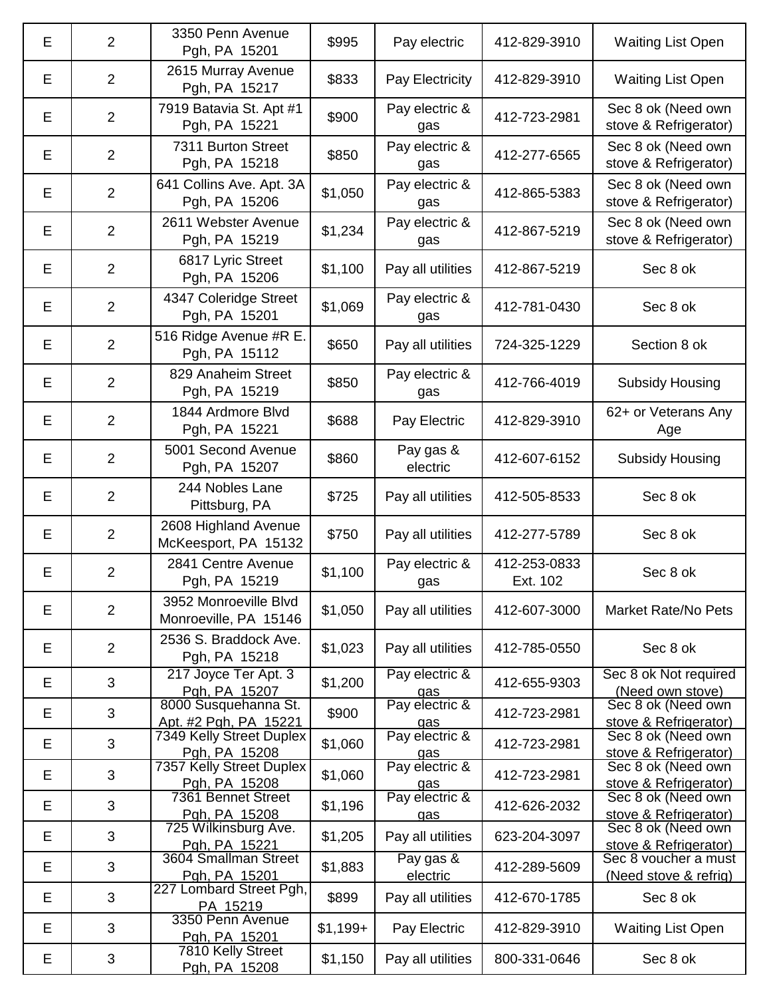| E | $\overline{2}$ | 3350 Penn Avenue<br>Pgh, PA 15201              | \$995     | Pay electric          | 412-829-3910             | <b>Waiting List Open</b>                      |
|---|----------------|------------------------------------------------|-----------|-----------------------|--------------------------|-----------------------------------------------|
| Е | $\overline{2}$ | 2615 Murray Avenue<br>Pgh, PA 15217            | \$833     | Pay Electricity       | 412-829-3910             | <b>Waiting List Open</b>                      |
| Е | $\overline{2}$ | 7919 Batavia St. Apt #1<br>Pgh, PA 15221       | \$900     | Pay electric &<br>gas | 412-723-2981             | Sec 8 ok (Need own<br>stove & Refrigerator)   |
| Е | $\overline{2}$ | 7311 Burton Street<br>Pgh, PA 15218            | \$850     | Pay electric &<br>gas | 412-277-6565             | Sec 8 ok (Need own<br>stove & Refrigerator)   |
| Е | $\overline{2}$ | 641 Collins Ave. Apt. 3A<br>Pgh, PA 15206      | \$1,050   | Pay electric &<br>gas | 412-865-5383             | Sec 8 ok (Need own<br>stove & Refrigerator)   |
| Е | $\overline{2}$ | 2611 Webster Avenue<br>Pgh, PA 15219           | \$1,234   | Pay electric &<br>gas | 412-867-5219             | Sec 8 ok (Need own<br>stove & Refrigerator)   |
| Е | $\overline{2}$ | 6817 Lyric Street<br>Pgh, PA 15206             | \$1,100   | Pay all utilities     | 412-867-5219             | Sec 8 ok                                      |
| Е | $\overline{2}$ | 4347 Coleridge Street<br>Pgh, PA 15201         | \$1,069   | Pay electric &<br>gas | 412-781-0430             | Sec 8 ok                                      |
| Е | $\overline{2}$ | 516 Ridge Avenue #R E.<br>Pgh, PA 15112        | \$650     | Pay all utilities     | 724-325-1229             | Section 8 ok                                  |
| Е | $\overline{2}$ | 829 Anaheim Street<br>Pgh, PA 15219            | \$850     | Pay electric &<br>gas | 412-766-4019             | <b>Subsidy Housing</b>                        |
| Е | $\overline{2}$ | 1844 Ardmore Blvd<br>Pgh, PA 15221             | \$688     | Pay Electric          | 412-829-3910             | 62+ or Veterans Any<br>Age                    |
| Е | $\overline{2}$ | 5001 Second Avenue<br>Pgh, PA 15207            | \$860     | Pay gas &<br>electric | 412-607-6152             | <b>Subsidy Housing</b>                        |
| Е | $\overline{2}$ | 244 Nobles Lane<br>Pittsburg, PA               | \$725     | Pay all utilities     | 412-505-8533             | Sec 8 ok                                      |
| E | $\overline{2}$ | 2608 Highland Avenue<br>McKeesport, PA 15132   | \$750     | Pay all utilities     | 412-277-5789             | Sec 8 ok                                      |
| E | $\overline{2}$ | 2841 Centre Avenue<br>Pgh, PA 15219            | \$1,100   | Pay electric &<br>gas | 412-253-0833<br>Ext. 102 | Sec 8 ok                                      |
| E | $\overline{2}$ | 3952 Monroeville Blvd<br>Monroeville, PA 15146 | \$1,050   | Pay all utilities     | 412-607-3000             | <b>Market Rate/No Pets</b>                    |
| E | $\overline{2}$ | 2536 S. Braddock Ave.<br>Pgh, PA 15218         | \$1,023   | Pay all utilities     | 412-785-0550             | Sec 8 ok                                      |
| Е | 3              | 217 Joyce Ter Apt. 3<br>Pgh, PA 15207          | \$1,200   | Pay electric &<br>gas | 412-655-9303             | Sec 8 ok Not required<br>(Need own stove)     |
| Е | 3              | 8000 Susquehanna St.<br>Apt. #2 Pgh, PA 15221  | \$900     | Pay electric &<br>gas | 412-723-2981             | Sec 8 ok (Need own<br>stove & Refrigerator)   |
| Е | 3              | 7349 Kelly Street Duplex<br>Pgh, PA 15208      | \$1,060   | Pay electric &<br>gas | 412-723-2981             | Sec 8 ok (Need own<br>stove & Refrigerator)   |
| Е | 3              | 7357 Kelly Street Duplex<br>Pgh, PA 15208      | \$1,060   | Pay electric &<br>gas | 412-723-2981             | Sec 8 ok (Need own<br>stove & Refrigerator)   |
| Е | 3              | 7361 Bennet Street<br>Pgh, PA 15208            | \$1,196   | Pay electric &<br>gas | 412-626-2032             | Sec 8 ok (Need own<br>stove & Refrigerator)   |
| Е | 3              | 725 Wilkinsburg Ave.<br>Pgh, PA 15221          | \$1,205   | Pay all utilities     | 623-204-3097             | Sec 8 ok (Need own<br>stove & Refrigerator)   |
| E | 3              | 3604 Smallman Street<br>Pgh, PA 15201          | \$1,883   | Pay gas &<br>electric | 412-289-5609             | Sec 8 voucher a must<br>(Need stove & refrig) |
| E | 3              | 227 Lombard Street Pgh,<br>PA 15219            | \$899     | Pay all utilities     | 412-670-1785             | Sec 8 ok                                      |
| E | 3              | 3350 Penn Avenue<br>Pgh, PA 15201              | $$1,199+$ | Pay Electric          | 412-829-3910             | <b>Waiting List Open</b>                      |
| Е | 3              | 7810 Kelly Street<br>Pgh, PA 15208             | \$1,150   | Pay all utilities     | 800-331-0646             | Sec 8 ok                                      |